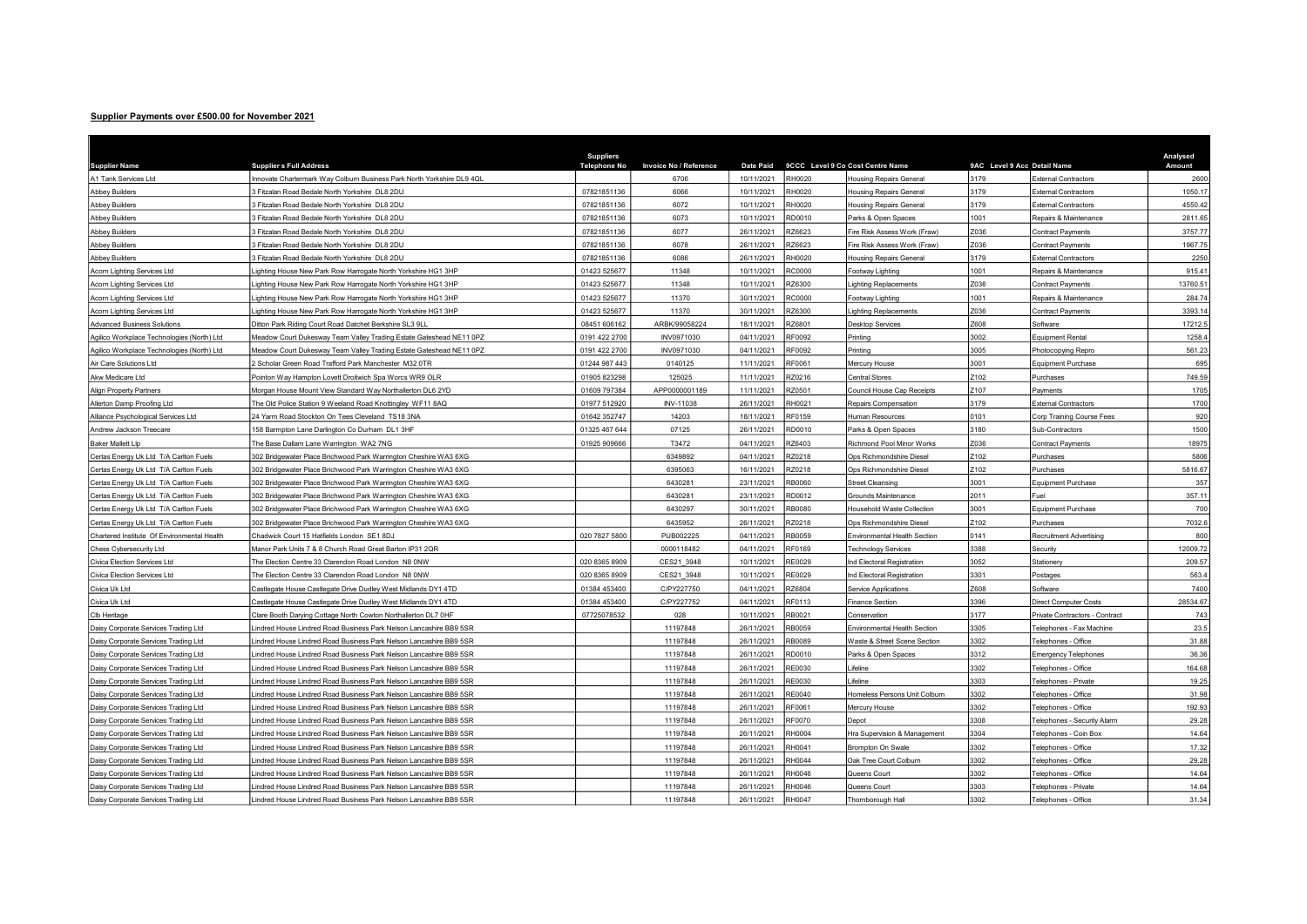## Supplier Payments over £500.00 for November 2021

| <b>Supplier Name</b>                        | <b>Suppliers Full Address</b>                                          | <b>Suppliers</b><br><b>Telephone No</b> | <b>Invoice No / Reference</b> | <b>Date Paid</b> |               | 9CCC Level 9 Co Cost Centre Name  | 9AC Level 9 Acc Detail Name |                                | Analysed<br>Amount |
|---------------------------------------------|------------------------------------------------------------------------|-----------------------------------------|-------------------------------|------------------|---------------|-----------------------------------|-----------------------------|--------------------------------|--------------------|
| A1 Tank Services Ltd                        | Innovate Chartermark Way Colburn Business Park North Yorkshire DL9 4QL |                                         | 6706                          | 10/11/2021       | RH0020        | Housing Repairs General           | 3179                        | External Contractors           | 2600               |
| <b>Abbey Builders</b>                       | 3 Fitzalan Road Bedale North Yorkshire DL8 2DU                         | 07821851136                             | 6066                          | 10/11/2021       | RH0020        | <b>Housing Repairs General</b>    | 3179                        | External Contractors           | 1050.17            |
| <b>Abbey Builders</b>                       | 3 Fitzalan Road Bedale North Yorkshire DL8 2DU                         | 07821851136                             | 6072                          | 10/11/2021       | RH0020        | <b>Housing Repairs General</b>    | 3179                        | <b>External Contractors</b>    | 4550.42            |
| <b>Abbey Builders</b>                       | 3 Fitzalan Road Bedale North Yorkshire DL8 2DU                         | 07821851136                             | 6073                          | 10/11/2021       | RD0010        | Parks & Open Spaces               | 1001                        | Repairs & Maintenance          | 2811.65            |
| <b>Abbey Builders</b>                       | 3 Fitzalan Road Bedale North Yorkshire DL8 2DU                         | 07821851136                             | 6077                          | 26/11/2021       | RZ6623        | Fire Risk Assess Work (Fraw)      | Z036                        | Contract Payments              | 3757.77            |
| <b>Abbey Builders</b>                       | 3 Fitzalan Road Bedale North Yorkshire DL8 2DU                         | 07821851136                             | 6078                          | 26/11/2021       | RZ6623        | Fire Risk Assess Work (Fraw)      | Z036                        | <b>Contract Payments</b>       | 1967.75            |
| <b>Abbey Builders</b>                       | 3 Fitzalan Road Bedale North Yorkshire DL8 2DU                         | 07821851136                             | 6086                          | 26/11/2021       | RH0020        | <b>Housing Repairs General</b>    | 3179                        | <b>External Contractors</b>    | 2250               |
| Acorn Lighting Services Ltd                 | Lighting House New Park Row Harrogate North Yorkshire HG1 3HP          | 01423 525677                            | 11348                         | 10/11/2021       | RC0000        | Footway Lighting                  | 001                         | Repairs & Maintenance          | 915.4              |
| Acorn Lighting Services Ltd                 | Lighting House New Park Row Harrogate North Yorkshire HG1 3HP          | 01423 525677                            | 11348                         | 10/11/2021       | 376300        | ighting Replacements              | 036                         | Contract Payments              | 13760.51           |
| <b>Acorn Lighting Services Ltd</b>          | ighting House New Park Row Harrogate North Yorkshire HG1 3HP           | 01423 525677                            | 11370                         | 30/11/2021       | <b>RC0000</b> | Footway Lighting                  | 001                         | Repairs & Maintenance          | 284.74             |
| Acorn Lighting Services Ltd                 | Lighting House New Park Row Harrogate North Yorkshire HG1 3HP          | 01423 525677                            | 11370                         | 30/11/2021       | RZ6300        | Lighting Replacements             | Z036                        | Contract Payments              | 3393.14            |
| <b>Advanced Business Solutions</b>          | Ditton Park Riding Court Road Datchet Berkshire SL3 9LL                | 08451 606162                            | ARBK/99058224                 | 18/11/2021       | <b>RZ6801</b> | Desktop Services                  | 608                         | Software                       | 17212.             |
| Agilico Workplace Technologies (North) Ltd  | Meadow Court Dukesway Team Valley Trading Estate Gateshead NE11 0PZ    | 0191 422 2700                           | INV0971030                    | 04/11/2021       | RF0092        | Printing                          | 002                         | <b>Equipment Rental</b>        | 1258.4             |
| Agilico Workplace Technologies (North) Ltd  | Meadow Court Dukesway Team Valley Trading Estate Gateshead NE11 0PZ    | 0191 422 2700                           | INV0971030                    | 04/11/2021       | RF0092        | <sup>2</sup> rinting              | 005                         | Photocopying Repro             | 561.2              |
| Air Care Solutions Ltd                      | 2 Scholar Green Road Trafford Park Manchester M32 0TR                  | 01244 987 443                           | 0140125                       | 11/11/2021       | RF0061        | Mercury House                     | 3001                        | <b>Equipment Purchase</b>      | 695                |
| Akw Medicare Ltd                            | Pointon Way Hampton Lovett Droitwich Spa Worcs WR9 OLR                 | 01905 823298                            | 125025                        | 11/11/2021       | RZ0216        | Central Stores                    | Z102                        | Purchases                      | 749.59             |
| <b>Align Property Partners</b>              | Morgan House Mount View Standard Way Northallerton DL6 2YD             | 01609 797384                            | APP0000001189                 | 11/11/2021       | RZ0501        | Council House Cap Receipts        | Z107                        | Payments                       | 1705               |
| Allerton Damp Proofing Ltd                  | The Old Police Station 9 Weeland Road Knottingley WF11 8AQ             | 01977 512920                            | INV-11038                     | 26/11/2021       | RH0021        | Repairs Compensation              | 3179                        | <b>External Contractors</b>    | 1700               |
| Alliance Psychological Services Ltd         | 24 Yarm Road Stockton On Tees Cleveland TS18 3NA                       | 01642 352747                            | 14203                         | 18/11/2021       | RF0159        | Human Resources                   | 0101                        | Corp Training Course Fees      | 920                |
| Andrew Jackson Treecare                     | 158 Barmpton Lane Darlington Co Durham DL1 3HF                         | 01325 467 644                           | 07125                         | 26/11/2021       | RD0010        | Parks & Open Spaces               | 180                         | Sub-Contractors                | 1500               |
| <b>Baker Mallett Lip</b>                    | The Base Dallam Lane Warrington WA2 7NG                                | 01925 909666                            | T3472                         | 04/11/2021       | RZ6403        | Richmond Pool Minor Works         | Z036                        | <b>Contract Payments</b>       | 1897               |
| Certas Energy Uk Ltd T/A Carlton Fuels      | 302 Bridgewater Place Brichwood Park Warrington Cheshire WA3 6XG       |                                         | 6349892                       | 04/11/2021       | RZ0218        | Ops Richmondshire Diese           | Z <sub>102</sub>            | Purchases                      | 5806               |
| Certas Energy Uk Ltd T/A Carlton Fuels      | 302 Bridgewater Place Brichwood Park Warrington Cheshire WA3 6XG       |                                         | 6395063                       | 16/11/2021       | RZ0218        | Ops Richmondshire Diese           | Z <sub>102</sub>            | Purchases                      | 5816.67            |
| Certas Energy Uk Ltd T/A Carlton Fuels      | 302 Bridgewater Place Brichwood Park Warrington Cheshire WA3 6XG       |                                         | 6430281                       | 23/11/2021       | RB0060        | Street Cleansing                  | 3001                        | Equipment Purchase             | 357                |
| Certas Energy Uk Ltd T/A Carlton Fuels      | 302 Bridgewater Place Brichwood Park Warrington Cheshire WA3 6XG       |                                         | 6430281                       | 23/11/2021       | RD0012        | <b>Grounds Maintenance</b>        | 2011                        | Fuel                           | 357.1'             |
| Certas Energy Uk Ltd T/A Carlton Fuels      | 302 Bridgewater Place Brichwood Park Warrington Cheshire WA3 6XG       |                                         | 6430297                       | 30/11/2021       | RB0080        | <b>Household Waste Collection</b> | 3001                        | <b>Equipment Purchase</b>      | 700                |
| Certas Energy Uk Ltd T/A Carlton Fuels      | 302 Bridgewater Place Brichwood Park Warrington Cheshire WA3 6XG       |                                         | 6435952                       | 26/11/2021       | <b>220218</b> | Ops Richmondshire Diesel          | Z102                        | Purchases                      | 7032.6             |
| Chartered Institute Of Environmental Health | Chadwick Court 15 Hatfields London SE1 8DJ                             | 020 7827 5800                           | PUB002225                     | 04/11/2021       | RB0059        | Environmental Health Section      | 141                         | <b>Recruitment Advertising</b> | 800                |
| Chess Cybersecurity Ltd                     | Manor Park Units 7 & 8 Church Road Great Barton IP31 2QR               |                                         | 0000118482                    | 04/11/2021       | RF0169        | echnology Services                | 3388                        | Security                       | 12009.72           |
| Civica Election Services Ltd                | The Election Centre 33 Clarendon Road London N8 0NW                    | 020 8365 8909                           | CES21 3948                    | 10/11/2021       | RE0029        | Ind Electoral Registration        | 3052                        | Stationery                     | 209.57             |
| Civica Election Services Ltd                | The Election Centre 33 Clarendon Road London N8 0NW                    | 020 8365 8909                           | CES21 3948                    | 10/11/2021       | RE0029        | nd Electoral Registration         | 3301                        | Postages                       | 563.4              |
| Civica Uk Ltd                               | Castlegate House Castlegate Drive Dudley West Midlands DY1 4TD         | 01384 453400                            | C/PY227750                    | 04/11/2021       | RZ6804        | Service Applications              | Z608                        | Software                       | 7400               |
| Civica Uk Ltd                               | Castlegate House Castlegate Drive Dudley West Midlands DY1 4TD         | 01384 453400                            | C/PY227752                    | 04/11/2021       | RF0113        | <b>Finance Section</b>            | 396                         | Direct Computer Costs          | 28534.67           |
| Clb Heritage                                | Clare Booth Darying Cottage North Cowton Northallerton DL7 0HF         | 07725078532                             | 028                           | 10/11/2021       | RB0021        | Conservation                      | 177                         | Private Contractors - Contract | 743                |
| Daisy Corporate Services Trading Ltd        | Lindred House Lindred Road Business Park Nelson Lancashire BB9 5SR     |                                         | 11197848                      | 26/11/2021       | RB0059        | Environmental Health Section      | 305                         | elephones - Fax Machine        | 23.5               |
| Daisy Corporate Services Trading Ltd        | Lindred House Lindred Road Business Park Nelson Lancashire BB9 5SR     |                                         | 11197848                      | 26/11/2021       | RB0089        | Waste & Street Scene Section      | 302                         | Felephones - Office            | 31.88              |
| Daisy Corporate Services Trading Ltd        | indred House Lindred Road Business Park Nelson Lancashire BB9 5SR      |                                         | 11197848                      | 26/11/2021       | RD0010        | Parks & Open Spaces               | 312                         | Emergency Telephones           | 36.36              |
| Daisy Corporate Services Trading Ltd        | indred House Lindred Road Business Park Nelson Lancashire BB9 5SR      |                                         | 11197848                      | 26/11/2021       | RF0030        | _ifeline                          | 3302                        | elephones - Office             | 164.68             |
| Daisy Corporate Services Trading Ltd        | Lindred House Lindred Road Business Park Nelson Lancashire BB9 5SR     |                                         | 11197848                      | 26/11/2021       | RF0030        | ifeline                           | 303                         | elephones - Private            | 19.25              |
| Daisy Corporate Services Trading Ltd        | Lindred House Lindred Road Business Park Nelson Lancashire BB9 5SR     |                                         | 11197848                      | 26/11/2021       | RE0040        | Homeless Persons Unit Colburn     | 3302                        | elephones - Office             | 31.98              |
| Daisy Corporate Services Trading Ltd        | Lindred House Lindred Road Business Park Nelson Lancashire BB9 5SR     |                                         | 11197848                      | 26/11/2021       | RF0061        | Mercury House                     | 302                         | elephones - Office             | 192.93             |
| Daisy Corporate Services Trading Ltd        | Lindred House Lindred Road Business Park Nelson Lancashire BB9 5SR     |                                         | 11197848                      | 26/11/2021       | RF0070        | Depot                             | 3308                        | Felephones - Security Alarm    | 29.28              |
| Daisy Corporate Services Trading Ltd        | Lindred House Lindred Road Business Park Nelson Lancashire BB9 5SR     |                                         | 11197848                      | 26/11/2021       | RH0004        | Hra Supervision & Management      | 3304                        | Felephones - Coin Box          | 14.64              |
| Daisy Corporate Services Trading Ltd        | Lindred House Lindred Road Business Park Nelson Lancashire BB9 5SR     |                                         | 11197848                      | 26/11/2021       | RH0041        | <b>Brompton On Swale</b>          | 3302                        | elephones - Office             | 17.32              |
| Daisy Corporate Services Trading Ltd        | Lindred House Lindred Road Business Park Nelson Lancashire BB9 5SR     |                                         | 11197848                      | 26/11/2021       | RH0044        | Oak Tree Court Colburn            | 3302                        | elephones - Office             | 29.28              |
| Daisy Corporate Services Trading Ltd        | Indred House Lindred Road Business Park Nelson Lancashire BB9 5SR      |                                         | 11197848                      | 26/11/2021       | RH0046        | Queens Court                      | 3302                        | elephones - Office             | 14.64              |
| Daisy Corporate Services Trading Ltd        | Indred House Lindred Road Business Park Nelson Lancashire BB9 5SR      |                                         | 11197848                      | 26/11/2021       | RH0046        | Queens Court                      | 303                         | Felephones - Private           | 14.64              |
| Daisy Corporate Services Trading Ltd        | Lindred House Lindred Road Business Park Nelson Lancashire BB9 5SR     |                                         | 11197848                      | 26/11/2021       | <b>RH0047</b> | Thornborough Hall                 | 3302                        | Telephones - Office            | 31.34              |
|                                             |                                                                        |                                         |                               |                  |               |                                   |                             |                                |                    |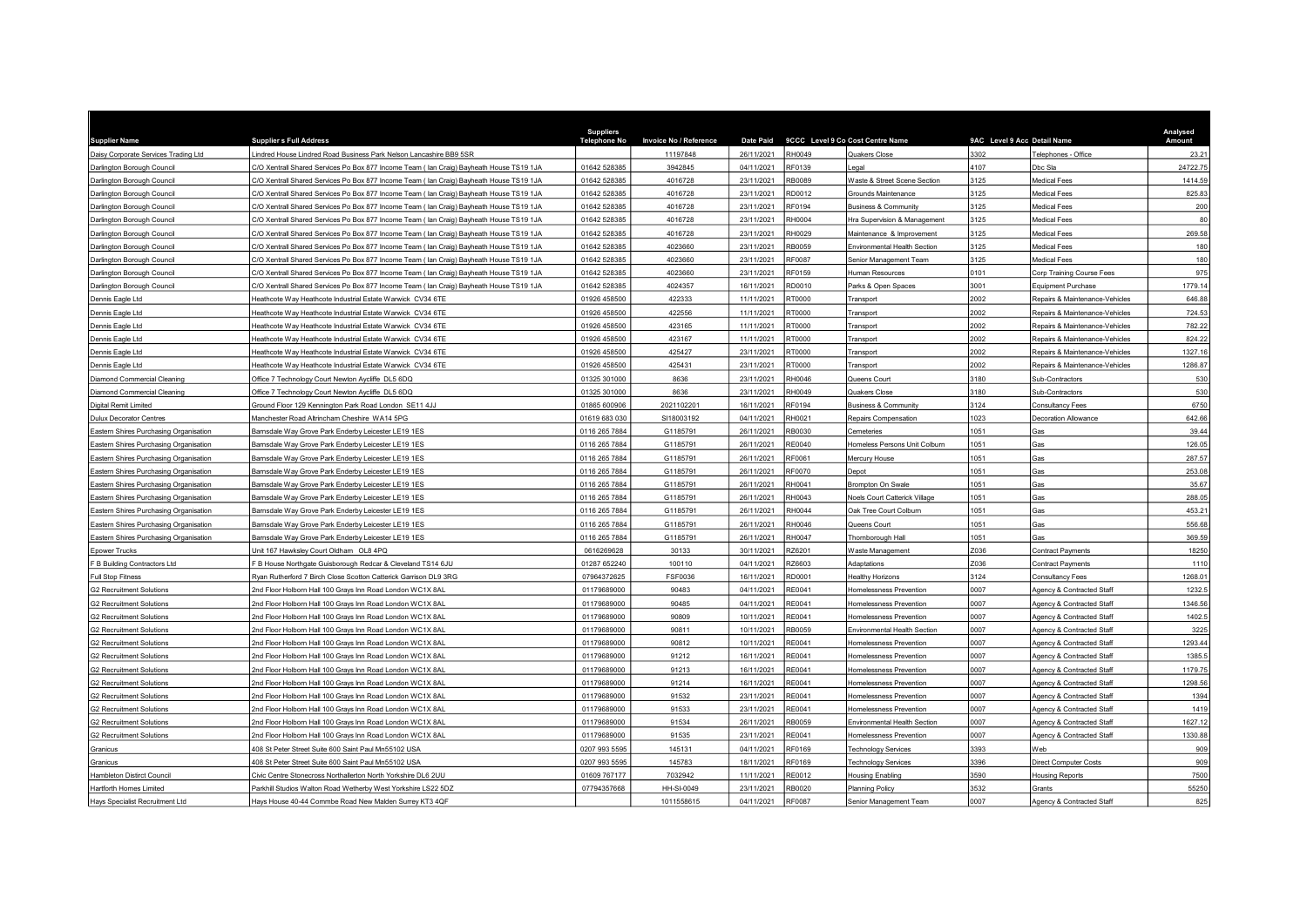|                                        |                                                                                          | <b>Suppliers</b>    |                        |                  |               |                                         |                             |                                  | Analysed |
|----------------------------------------|------------------------------------------------------------------------------------------|---------------------|------------------------|------------------|---------------|-----------------------------------------|-----------------------------|----------------------------------|----------|
| <b>Supplier Name</b>                   | <b>Suppliers Full Address</b>                                                            | <b>Telephone No</b> | Invoice No / Reference | <b>Date Paid</b> |               | 9CCC Level 9 Co Cost Centre Name        | 9AC Level 9 Acc Detail Name |                                  | Amount   |
| Daisy Corporate Services Trading Ltd   | indred House Lindred Road Business Park Nelson Lancashire BB9 5SR                        |                     | 11197848               | 26/11/2021       | RH0049        | Quakers Close                           | 3302                        | Telephones - Office              | 23.21    |
| Darlington Borough Council             | C/O Xentrall Shared Services Po Box 877 Income Team ( Ian Craig) Bayheath House TS19 1JA | 01642 528385        | 3942845                | 04/11/2021       | RF0139        | .egal                                   | 1107                        | Dbc Sla                          | 24722.75 |
| Darlington Borough Council             | C/O Xentrall Shared Services Po Box 877 Income Team (Ian Craig) Bayheath House TS19 1JA  | 01642 528385        | 4016728                | 23/11/2021       | RB0089        | <b>Naste &amp; Street Scene Section</b> | 3125                        | Aedical Fees                     | 1414.59  |
| Darlington Borough Council             | C/O Xentrall Shared Services Po Box 877 Income Team (Ian Craig) Bayheath House TS19 1JA  | 01642 528385        | 4016728                | 23/11/2021       | RD0012        | Grounds Maintenance                     | 3125                        | edical Fees                      | 825.83   |
| Darlington Borough Council             | C/O Xentrall Shared Services Po Box 877 Income Team ( lan Craig) Bayheath House TS19 1JA | 01642 528385        | 4016728                | 23/11/2021       | RF0194        | <b>Business &amp; Community</b>         | 3125                        | <b>Medical Fees</b>              | 200      |
| Darlington Borough Council             | C/O Xentrall Shared Services Po Box 877 Income Team ( Ian Craig) Bayheath House TS19 1JA | 01642 528385        | 4016728                | 23/11/2021       | RH0004        | Hra Supervision & Management            | 3125                        | <b>Medical Fees</b>              | 80       |
| Darlington Borough Council             | C/O Xentrall Shared Services Po Box 877 Income Team (Ian Craig) Bayheath House TS19 1JA  | 01642 528385        | 4016728                | 23/11/2021       | RH0029        | Maintenance & Improvement               | 3125                        | Aedical Fees                     | 269.58   |
| Darlington Borough Council             | C/O Xentrall Shared Services Po Box 877 Income Team (Ian Craig) Bayheath House TS19 1JA  | 01642 528385        | 4023660                | 23/11/2021       | RB0059        | Environmental Health Section            | 3125                        | Medical Fees                     | 180      |
| Darlington Borough Council             | C/O Xentrall Shared Services Po Box 877 Income Team ( lan Craig) Bayheath House TS19 1JA | 01642 528385        | 4023660                | 23/11/2021       | RF0087        | Senior Management Team                  | 3125                        | Medical Fees                     | 180      |
| Darlington Borough Council             | C/O Xentrall Shared Services Po Box 877 Income Team (Ian Craig) Bayheath House TS19 1JA  | 01642 528385        | 4023660                | 23/11/2021       | RF0159        | Human Resources                         | 101                         | <b>Corp Training Course Fees</b> | 975      |
| Darlington Borough Council             | C/O Xentrall Shared Services Po Box 877 Income Team (Ian Craig) Bayheath House TS19 1JA  | 01642 528385        | 4024357                | 16/11/2021       | RD0010        | Parks & Open Spaces                     | 3001                        | Equipment Purchase               | 1779.14  |
| Dennis Eagle Ltd                       | Heathcote Way Heathcote Industrial Estate Warwick CV34 6TE                               | 01926 458500        | 422333                 | 11/11/2021       | RT0000        | <b>Transport</b>                        | 2002                        | Repairs & Maintenance-Vehicles   | 646.88   |
| Dennis Eagle Ltd                       | Heathcote Way Heathcote Industrial Estate Warwick CV34 6TE                               | 01926 458500        | 422556                 | 11/11/2021       | RT0000        | <b>Transport</b>                        | 2002                        | Repairs & Maintenance-Vehicles   | 724.53   |
| Dennis Eagle Ltd                       | Heathcote Way Heathcote Industrial Estate Warwick CV34 6TE                               | 01926 458500        | 423165                 | 11/11/2021       | RT0000        | <b>Transport</b>                        | 2002                        | Repairs & Maintenance-Vehicles   | 782.22   |
| Dennis Eagle Ltd                       | Heathcote Way Heathcote Industrial Estate Warwick CV34 6TE                               | 01926 458500        | 423167                 | 11/11/2021       | RT0000        | Transport                               | 2002                        | Repairs & Maintenance-Vehicles   | 824.22   |
| Dennis Eagle Ltd                       | leathcote Way Heathcote Industrial Estate Warwick CV34 6TE                               | 01926 458500        | 425427                 | 23/11/2021       | RT0000        | Transport                               | 2002                        | Repairs & Maintenance-Vehicles   | 1327.16  |
| Dennis Eagle Ltd                       | leathcote Way Heathcote Industrial Estate Warwick CV34 6TE                               | 01926 458500        | 425431                 | 23/11/2021       | RT0000        | Transport                               | 2002                        | Repairs & Maintenance-Vehicles   | 1286.87  |
| Diamond Commercial Cleaning            | Office 7 Technology Court Newton Aycliffe DL5 6DQ                                        | 01325 301000        | 8636                   | 23/11/2021       | RH0046        | Queens Court                            | 3180                        | Sub-Contractors                  | 530      |
| Diamond Commercial Cleaning            | Office 7 Technology Court Newton Aycliffe DL5 6DQ                                        | 01325 301000        | 8636                   | 23/11/2021       | RH0049        | <b>Quakers Close</b>                    | 3180                        | Sub-Contractors                  | 530      |
| Digital Remit Limited                  | Ground Floor 129 Kennington Park Road London SE11 4JJ                                    | 01865 600906        | 2021102201             | 16/11/2021       | RF0194        | <b>Business &amp; Community</b>         | 3124                        | <b>Consultancy Fees</b>          | 6750     |
| <b>Dulux Decorator Centres</b>         | Manchester Road Altrincham Cheshire WA14 5PG                                             | 01619 683 030       | SI18003192             | 04/11/2021       | RH0021        | Repairs Compensation                    | 1023                        | Decoration Allowance             | 642.66   |
| Eastern Shires Purchasing Organisation | Barnsdale Way Grove Park Enderby Leicester LE19 1ES                                      | 0116 265 7884       | G1185791               | 26/11/2021       | RB0030        | Cemeteries                              | 051                         | Gas                              | 39.44    |
| Eastern Shires Purchasing Organisation | arnsdale Way Grove Park Enderby Leicester LE19 1ES                                       | 0116 265 7884       | G1185791               | 26/11/2021       | RE0040        | Iomeless Persons Unit Colburn           | 051                         | Gas                              | 126.05   |
| Eastern Shires Purchasing Organisation | Barnsdale Way Grove Park Enderby Leicester LE19 1ES                                      | 0116 265 7884       | G1185791               | 26/11/2021       | RF0061        | Mercury House                           | 1051                        | Gas                              | 287.57   |
| Eastern Shires Purchasing Organisation | Barnsdale Way Grove Park Enderby Leicester LE19 1ES                                      | 0116 265 7884       | G1185791               | 26/11/2021       | <b>RF0070</b> | Depot                                   | 1051                        | Gas                              | 253.08   |
| Eastern Shires Purchasing Organisation | larnsdale Way Grove Park Enderby Leicester LE19 1ES                                      | 0116 265 7884       | G1185791               | 26/11/2021       | RH0041        | Brompton On Swale                       | 1051                        | Gas                              | 35.67    |
| Eastern Shires Purchasing Organisation | Barnsdale Way Grove Park Enderby Leicester LE19 1ES                                      | 0116 265 7884       | G1185791               | 26/11/2021       | RH0043        | Noels Court Catterick Village           | 1051                        | Gas                              | 288.05   |
| Eastern Shires Purchasing Organisation | 3arnsdale Way Grove Park Enderby Leicester LE19 1ES                                      | 0116 265 7884       | G1185791               | 26/11/2021       | RH0044        | <b>Jak Tree Court Colburn</b>           | 1051                        | Gas                              | 453.21   |
| Eastern Shires Purchasing Organisation | arnsdale Way Grove Park Enderby Leicester LE19 1ES                                       | 0116 265 7884       | G1185791               | 26/11/2021       | RH0046        | Queens Court                            | 1051                        | <b>as</b>                        | 556.68   |
| Eastern Shires Purchasing Organisation | arnsdale Way Grove Park Enderby Leicester LE19 1ES                                       | 0116 265 7884       | G1185791               | 26/11/2021       | RH0047        | Thornborough Hall                       | 051                         | ias                              | 369.59   |
| <b>Epower Trucks</b>                   | Jnit 167 Hawksley Court Oldham OL8 4PQ                                                   | 0616269628          | 30133                  | 30/11/2021       | RZ6201        | Waste Management                        | Z036                        | <b>Contract Payments</b>         | 18250    |
| F B Building Contractors Ltd           | F B House Northgate Guisborough Redcar & Cleveland TS14 6JU                              | 01287 652240        | 100110                 | 04/11/2021       | RZ6603        | Adaptations                             | Z036                        | <b>Contract Payments</b>         | 1110     |
| <b>Full Stop Fitness</b>               | Rvan Rutherford 7 Birch Close Scotton Catterick Garrison DL9 3RG                         | 07964372625         | FSF0036                | 16/11/2021       | RD0001        | <b>Healthy Horizons</b>                 | 3124                        | Consultancy Fees                 | 1268.01  |
| <b>G2 Recruitment Solutions</b>        | 2nd Floor Holborn Hall 100 Gravs Inn Road London WC1X 8AL                                | 01179689000         | 90483                  | 04/11/2021       | RE0041        | Homelessness Prevention                 | 0007                        | Agency & Contracted Staff        | 1232.5   |
| <b>G2 Recruitment Solutions</b>        | 2nd Floor Holborn Hall 100 Grays Inn Road London WC1X 8AL                                | 01179689000         | 90485                  | 04/11/2021       | RE0041        | Iomelessness Prevention                 | 0007                        | Agency & Contracted Staff        | 1346.56  |
| <b>G2 Recruitment Solutions</b>        | 2nd Floor Holborn Hall 100 Gravs Inn Road London WC1X 8AL                                | 01179689000         | 90809                  | 10/11/2021       | RE0041        | <b>Homelessness Prevention</b>          | 0007                        | Agency & Contracted Staff        | 1402.5   |
| <b>G2 Recruitment Solutions</b>        | Ind Floor Holborn Hall 100 Grays Inn Road London WC1X 8AL                                | 01179689000         | 90811                  | 10/11/2021       | RB0059        | Invironmental Health Section            | 0007                        | Agency & Contracted Staff        | 3225     |
| <b>G2 Recruitment Solutions</b>        | 2nd Floor Holborn Hall 100 Grays Inn Road London WC1X 8AL                                | 01179689000         | 90812                  | 10/11/2021       | RE0041        | Homelessness Prevention                 | 0007                        | Agency & Contracted Staff        | 1293.44  |
| <b>G2 Recruitment Solutions</b>        | 2nd Floor Holborn Hall 100 Grays Inn Road London WC1X 8AL                                | 01179689000         | 91212                  | 16/11/2021       | RE0041        | <b>Homelessness Prevention</b>          | 0007                        | Agency & Contracted Staff        | 1385.5   |
| <b>G2 Recruitment Solutions</b>        | 2nd Floor Holborn Hall 100 Grays Inn Road London WC1X 8AL                                | 01179689000         | 91213                  | 16/11/2021       | RE0041        | Iomelessness Prevention                 | 0007                        | Agency & Contracted Staff        | 1179.75  |
| <b>G2 Recruitment Solutions</b>        | 2nd Floor Holborn Hall 100 Grays Inn Road London WC1X 8AL                                | 01179689000         | 91214                  | 16/11/2021       | RE0041        | Iomelessness Prevention                 | 0007                        | Agency & Contracted Staff        | 1298.56  |
| <b>G2 Recruitment Solutions</b>        | 2nd Floor Holborn Hall 100 Grays Inn Road London WC1X 8AL                                | 01179689000         | 91532                  | 23/11/2021       | RE0041        | Iomelessness Prevention                 | 0007                        | Agency & Contracted Staff        | 1394     |
| <b>G2 Recruitment Solutions</b>        | 2nd Floor Holborn Hall 100 Grays Inn Road London WC1X 8AL                                | 01179689000         | 91533                  | 23/11/2021       | RE0041        | Iomelessness Prevention                 | 0007                        | Agency & Contracted Staff        | 1419     |
| <b>G2 Recruitment Solutions</b>        | 2nd Floor Holborn Hall 100 Grays Inn Road London WC1X 8AL                                | 01179689000         | 91534                  | 26/11/2021       | RB0059        | Environmental Health Section            | 0007                        | Agency & Contracted Staff        | 1627.12  |
| <b>G2 Recruitment Solutions</b>        | 2nd Floor Holborn Hall 100 Grays Inn Road London WC1X 8AL                                | 01179689000         | 91535                  | 23/11/2021       | RE0041        | Homelessness Prevention                 | 0007                        | Agency & Contracted Staff        | 1330.88  |
| Granicus                               | 408 St Peter Street Suite 600 Saint Paul Mn55102 USA                                     | 0207 993 5595       | 145131                 | 04/11/2021       | RF0169        | Fechnology Services                     | 3393                        | Web                              | 909      |
| Granicus                               | 408 St Peter Street Suite 600 Saint Paul Mn55102 USA                                     | 0207 993 5595       | 145783                 | 18/11/2021       | RF0169        | <b>Fechnology Services</b>              | 3396                        | <b>Direct Computer Costs</b>     | 909      |
| Hambleton Distirct Council             | Civic Centre Stonecross Northallerton North Yorkshire DL6 2UU                            | 01609 767177        | 7032942                | 11/11/2021       | RE0012        | <b>Housing Enabling</b>                 | 3590                        | <b>Housing Reports</b>           | 7500     |
| <b>Hartforth Homes Limited</b>         | Parkhill Studios Walton Road Wetherby West Yorkshire LS22 5DZ                            | 07794357668         | <b>HH-SI-0049</b>      | 23/11/2021       | RB0020        | Planning Policy                         | 3532                        | Grants                           | 55250    |
| Hays Specialist Recruitment Ltd        | Hays House 40-44 Commbe Road New Malden Surrey KT3 4QF                                   |                     | 1011558615             | 04/11/2021       | RF0087        | Senior Management Team                  | 0007                        | Agency & Contracted Staff        | 825      |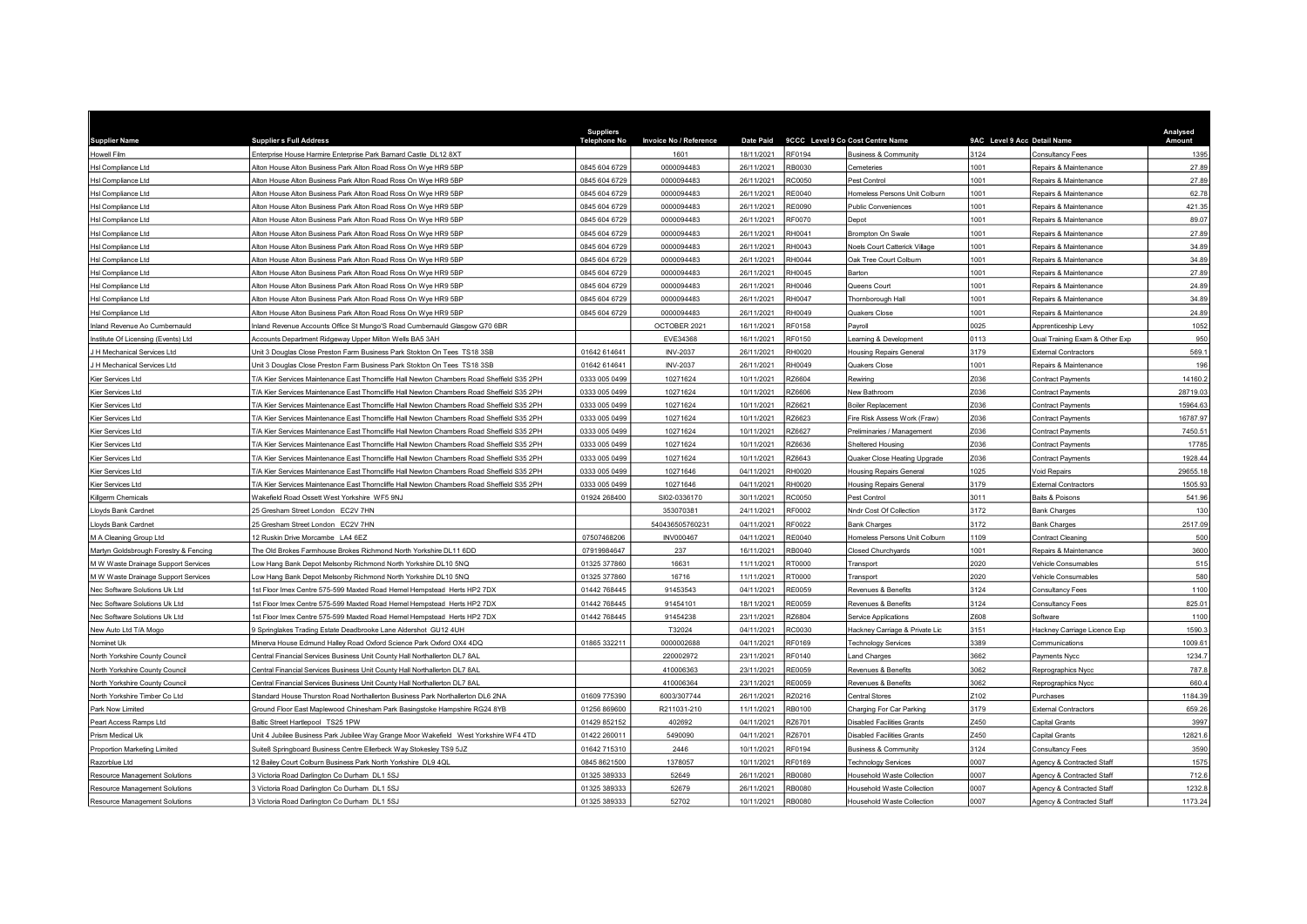| <b>Supplier Name</b>                  | <b>Suppliers Full Address</b>                                                              | <b>Suppliers</b><br>Telephone No | <b>Invoice No / Reference</b> | <b>Date Paid</b>            | 9CCC Level 9 Co Cost Centre Name | 9AC Level 9 Acc Detail Name |                                | Analysed<br>Amount |
|---------------------------------------|--------------------------------------------------------------------------------------------|----------------------------------|-------------------------------|-----------------------------|----------------------------------|-----------------------------|--------------------------------|--------------------|
| Howell Film                           | Enterprise House Harmire Enterprise Park Barnard Castle DL12 8XT                           |                                  | 1601                          | 18/11/2021<br><b>RF0194</b> | <b>Business &amp; Community</b>  | 3124                        | Consultancy Fees               | 1395               |
| Hsl Compliance Ltd                    | Alton House Alton Business Park Alton Road Ross On Wye HR9 5BP                             | 0845 604 6729                    | 0000094483                    | 26/11/2021<br>RB0030        | emeteries:                       | 1001                        | Repairs & Maintenance          | 27.89              |
| Hsl Compliance Ltd                    | Alton House Alton Business Park Alton Road Ross On Wye HR9 5BP                             | 0845 604 6729                    | 0000094483                    | 26/11/2021<br><b>RC0050</b> | Pest Control                     | 1001                        | Repairs & Maintenance          | 27.89              |
| Hsl Compliance Ltd                    | Alton House Alton Business Park Alton Road Ross On Wye HR9 5BP                             | 0845 604 6729                    | 0000094483                    | 26/11/2021<br>RE0040        | Iomeless Persons Unit Colburn    | 1001                        | Repairs & Maintenance          | 62.7               |
| Hsl Compliance Ltd                    | Alton House Alton Business Park Alton Road Ross On Wye HR9 5BP                             | 0845 604 6729                    | 0000094483                    | <b>RE0090</b><br>26/11/2021 | <b>Public Conveniences</b>       | 1001                        | Repairs & Maintenance          | 421.35             |
| Hsl Compliance Ltd                    | Alton House Alton Business Park Alton Road Ross On Wye HR9 5BP                             | 0845 604 6729                    | 0000094483                    | 26/11/2021<br><b>RF0070</b> | Depot                            | 1001                        | Repairs & Maintenance          | 89.07              |
| Hsl Compliance Ltd                    | Alton House Alton Business Park Alton Road Ross On Wye HR9 5BP                             | 0845 604 6729                    | 0000094483                    | 26/11/2021<br>RH0041        | <b>Brompton On Swale</b>         | 1001                        | Repairs & Maintenance          | 27.89              |
| Hsl Compliance Ltd                    | Alton House Alton Business Park Alton Road Ross On Wye HR9 5BP                             | 0845 604 6729                    | 0000094483                    | 26/11/2021<br><b>RH0043</b> | Noels Court Catterick Village    | 1001                        | Repairs & Maintenance          | 34.89              |
| Hsl Compliance Ltd                    | Alton House Alton Business Park Alton Road Ross On Wye HR9 5BP                             | 0845 604 6729                    | 0000094483                    | 26/11/2021<br>RHOO44        | Oak Tree Court Colburn           | 1001                        | Repairs & Maintenance          | 34.89              |
| Hsl Compliance Ltd                    | Alton House Alton Business Park Alton Road Ross On Wye HR9 5BP                             | 0845 604 6729                    | 0000094483                    | 26/11/2021<br>RH0045        | Barton                           | 1001                        | Repairs & Maintenance          | 27.89              |
| Hsl Compliance Ltd                    | Alton House Alton Business Park Alton Road Ross On Wye HR9 5BP                             | 0845 604 6729                    | 0000094483                    | 26/11/2021<br><b>RH0046</b> | Queens Court                     | 1001                        | Repairs & Maintenance          | 24.89              |
| Hsl Compliance Ltd                    | Alton House Alton Business Park Alton Road Ross On Wye HR9 5BP                             | 0845 604 6729                    | 0000094483                    | RH0047<br>26/11/2021        | Thornborough Hall                | 1001                        | Repairs & Maintenance          | 34.89              |
| Hsl Compliance Ltd                    | Alton House Alton Business Park Alton Road Ross On Wye HR9 5BP                             | 0845 604 6729                    | 0000094483                    | 26/11/2021<br>RH0049        | Quakers Close                    | 1001                        | Repairs & Maintenance          | 24.89              |
| Inland Revenue Ao Cumbernauld         | nland Revenue Accounts Office St Mungo'S Road Cumbernauld Glasgow G70 6BR                  |                                  | OCTOBER 2021                  | <b>RF0158</b><br>16/11/2021 | Payroll                          | 0025                        | Apprenticeship Levy            | 1052               |
| Institute Of Licensing (Events) Ltd   | Accounts Department Ridgeway Upper Milton Wells BA5 3AH                                    |                                  | EVE34368                      | 16/11/2021<br>RF0150        | earning & Development            | 0113                        | Qual Training Exam & Other Exp | 950                |
| H Mechanical Services Ltd             | Jnit 3 Douglas Close Preston Farm Business Park Stokton On Tees TS18 3SB                   | 01642 614641                     | <b>INV-2037</b>               | 26/11/2021<br>RH0020        | lousing Repairs General          | 3179                        | <b>External Contractors</b>    | 569.               |
| H Mechanical Services Ltd             | Unit 3 Douglas Close Preston Farm Business Park Stokton On Tees TS18 3SB                   | 01642 614641                     | <b>INV-2037</b>               | 26/11/2021<br>RH0049        | <b>Quakers Close</b>             | 1001                        | Repairs & Maintenance          | 196                |
| Kier Services Ltd                     | T/A Kier Services Maintenance East Thorncliffe Hall Newton Chambers Road Sheffield S35 2PH | 0333 005 0499                    | 10271624                      | 10/11/2021<br>RZ6604        | Rewiring                         | Z036                        | Contract Payments              | 14160.2            |
| Kier Services Ltd                     | T/A Kier Services Maintenance East Thorncliffe Hall Newton Chambers Road Sheffield S35 2PH | 0333 005 0499                    | 10271624                      | 10/11/2021<br>RZ6606        | New Bathroom                     | Z036                        | Contract Payments              | 28719.03           |
| Kier Services Ltd                     | F/A Kier Services Maintenance East Thorncliffe Hall Newton Chambers Road Sheffield S35 2PH | 0333 005 0499                    | 10271624                      | 10/11/2021<br>RZ6621        | <b>Boiler Replacement</b>        | Z036                        | <b>Contract Payments</b>       | 15964.63           |
| Kier Services Ltd                     | F/A Kier Services Maintenance East Thorncliffe Hall Newton Chambers Road Sheffield S35 2PH | 0333 005 0499                    | 10271624                      | 10/11/2021<br>RZ6623        | Fire Risk Assess Work (Fraw)     | 2036                        | Contract Payments              | 16787.97           |
| Kier Services Ltd                     | [/A Kier Services Maintenance East Thorncliffe Hall Newton Chambers Road Sheffield S35 2PH | 0333 005 0499                    | 10271624                      | 10/11/2021<br>RZ6627        | Preliminaries / Management       | 7036                        | Contract Payments              | 7450.51            |
| Kier Services Ltd                     | /A Kier Services Maintenance East Thorncliffe Hall Newton Chambers Road Sheffield S35 2PH  | 0333 005 0499                    | 10271624                      | 10/11/2021<br>RZ6636        | Sheltered Housing                | 2036                        | Contract Payments              | 1778               |
| Kier Services Ltd                     | T/A Kier Services Maintenance East Thorncliffe Hall Newton Chambers Road Sheffield S35 2PH | 0333 005 0499                    | 10271624                      | RZ6643<br>10/11/2021        | Quaker Close Heating Upgrade     | Z036                        | <b>Contract Payments</b>       | 1928.44            |
| Kier Services Ltd                     | T/A Kier Services Maintenance East Thorncliffe Hall Newton Chambers Road Sheffield S35 2PH | 0333 005 0499                    | 10271646                      | RH0020<br>04/11/2021        | <b>Housing Repairs General</b>   | 1025                        | Void Repairs                   | 29655.18           |
| Kier Services Ltd                     | F/A Kier Services Maintenance East Thorncliffe Hall Newton Chambers Road Sheffield S35 2PH | 0333 005 0499                    | 10271646                      | 04/11/2021<br>RH0020        | <b>Housing Repairs General</b>   | 3179                        | <b>External Contractors</b>    | 1505.93            |
| Killgerm Chemicals                    | Wakefield Road Ossett West Yorkshire WF5 9NJ                                               | 01924 268400                     | SI02-0336170                  | 30/11/2021<br>RC0050        | Pest Control                     | 3011                        | Baits & Poisons                | 541.96             |
| Lloyds Bank Cardnet                   | 25 Gresham Street London EC2V 7HN                                                          |                                  | 353070381                     | 24/11/2021<br>RF0002        | Nndr Cost Of Collection          | 3172                        | <b>Bank Charges</b>            | 130                |
| Lloyds Bank Cardnet                   | 25 Gresham Street London EC2V 7HN                                                          |                                  | 540436505760231               | 04/11/2021<br>RF0022        | <b>Bank Charges</b>              | 3172                        | <b>Bank Charges</b>            | 2517.09            |
| M A Cleaning Group Ltd                | 12 Ruskin Drive Morcambe LA4 6EZ                                                           | 07507468206                      | <b>INV000467</b>              | RE0040<br>04/11/2021        | Iomeless Persons Unit Colburn    | 1109                        | Contract Cleaning              | 500                |
| Martyn Goldsbrough Forestry & Fencing | The Old Brokes Farmhouse Brokes Richmond North Yorkshire DL11 6DD                          | 07919984647                      | 237                           | 16/11/2021<br>RB0040        | <b>Closed Churchyards</b>        | 1001                        | Repairs & Maintenance          | 3600               |
| M W Waste Drainage Support Services   | ow Hang Bank Depot Melsonby Richmond North Yorkshire DL10 5NQ                              | 01325 377860                     | 16631                         | 11/11/2021<br>RT0000        | Transport                        | 2020                        | Vehicle Consumables            | 515                |
| M W Waste Drainage Support Services   | ow Hang Bank Depot Melsonby Richmond North Yorkshire DL10 5NQ                              | 01325 377860                     | 16716                         | 11/11/2021<br>RT0000        | Transport                        | 2020                        | Vehicle Consumables            | 580                |
| Nec Software Solutions Uk Ltd         | Ist Floor Imex Centre 575-599 Maxted Road Hemel Hempstead Herts HP2 7DX                    | 01442 768445                     | 91453543                      | 04/11/2021<br>RE0059        | Revenues & Benefits              | 124                         | Consultancy Fees               | 1100               |
| Nec Software Solutions Uk Ltd         | Ist Floor Imex Centre 575-599 Maxted Road Hemel Hempstead Herts HP2 7DX                    | 01442 768445                     | 91454101                      | 18/11/2021<br>RE0059        | Revenues & Benefits              | 3124                        | Consultancy Fees               | 825.0              |
| Nec Software Solutions Uk Ltd         | 1st Floor Imex Centre 575-599 Maxted Road Hemel Hempstead Herts HP2 7DX                    | 01442 768445                     | 91454238                      | RZ6804<br>23/11/2021        | Service Applications             | Z608                        | Software                       | 1100               |
| New Auto Ltd T/A Mogo                 | 9 Springlakes Trading Estate Deadbrooke Lane Aldershot GU12 4UH                            |                                  | T32024                        | 04/11/2021<br>RC0030        | Hackney Carriage & Private Lic   | 3151                        | Hackney Carriage Licence Exp   | 1590.              |
| Nominet Uk                            | Minerva House Edmund Halley Road Oxford Science Park Oxford OX4 4DQ                        | 01865 332211                     | 0000002688                    | 04/11/2021<br>RF0169        | Technology Services              | 3389                        | Communications                 | 1009.6             |
| North Yorkshire County Council        | Central Financial Services Business Unit County Hall Northallerton DL7 8AL                 |                                  | 220002972                     | 23/11/2021<br><b>RF0140</b> | and Charges                      | 3662                        | Payments Nycc                  | 1234.7             |
| North Yorkshire County Council        | Central Financial Services Business Unit County Hall Northallerton DL7 8AL                 |                                  | 410006363                     | <b>RE0059</b><br>23/11/2021 | Revenues & Benefits              | 3062                        | Reprographics Nycc             | 787.8              |
| North Yorkshire County Council        | Central Financial Services Business Unit County Hall Northallerton DL7 8AL                 |                                  | 410006364                     | 23/11/2021<br>RE0059        | Revenues & Benefits              | 3062                        | Reprographics Nycc             | 660.               |
| North Yorkshire Timber Co Ltd         | Standard House Thurston Road Northallerton Business Park Northallerton DL6 2NA             | 01609 775390                     | 6003/307744                   | 26/11/2021<br>RZ0216        | <b>Central Stores</b>            | 2102                        | Purchases                      | 1184.39            |
| Park Now Limited                      | Ground Floor East Maplewood Chinesham Park Basingstoke Hampshire RG24 8YB                  | 01256 869600                     | R211031-210                   | RB0100<br>11/11/2021        | Charging For Car Parking         | 3179                        | <b>External Contractors</b>    | 659.26             |
| Peart Access Ramps Ltd                | Baltic Street Hartlepool TS25 1PW                                                          | 01429 852152                     | 402692                        | 04/11/2021<br>RZ6701        | Disabled Facilities Grants       | Z450                        | Capital Grants                 | 3997               |
| Prism Medical Uk                      | Unit 4 Jubilee Business Park Jubilee Way Grange Moor Wakefield West Yorkshire WF4 4TD      | 01422 260011                     | 5490090                       | 04/11/2021<br>RZ6701        | Disabled Facilities Grants       | Z450                        | Capital Grants                 | 12821.6            |
| Proportion Marketing Limited          | Suite8 Springboard Business Centre Ellerbeck Way Stokesley TS9 5JZ                         | 01642 715310                     | 2446                          | RF0194<br>10/11/2021        | <b>Business &amp; Community</b>  | 3124                        | Consultancy Fees               | 3590               |
| Razorblue Ltd                         | 2 Bailey Court Colburn Business Park North Yorkshire DL9 4QL                               | 0845 8621500                     | 1378057                       | 10/11/2021<br>RF0169        | Technology Services              | 0007                        | Agency & Contracted Staf       | 1575               |
| Resource Management Solutions         | 3 Victoria Road Darlington Co Durham DL1 5SJ                                               | 01325 389333                     | 52649                         | 26/11/2021<br><b>RB0080</b> | lousehold Waste Collection       | 0007                        | Agency & Contracted Staff      | 712.6              |
| Resource Management Solutions         | 3 Victoria Road Darlington Co Durham DL1 5SJ                                               | 01325 389333                     | 52679                         | <b>RB0080</b><br>26/11/2021 | Household Waste Collection       | 0007                        | Agency & Contracted Staff      | 1232.8             |
| Resource Management Solutions         | 3 Victoria Road Darlington Co Durham DL1 5SJ                                               | 01325 389333                     | 52702                         | 10/11/2021<br><b>RB0080</b> | Household Waste Collection       | 0007                        | Agency & Contracted Staff      | 1173.24            |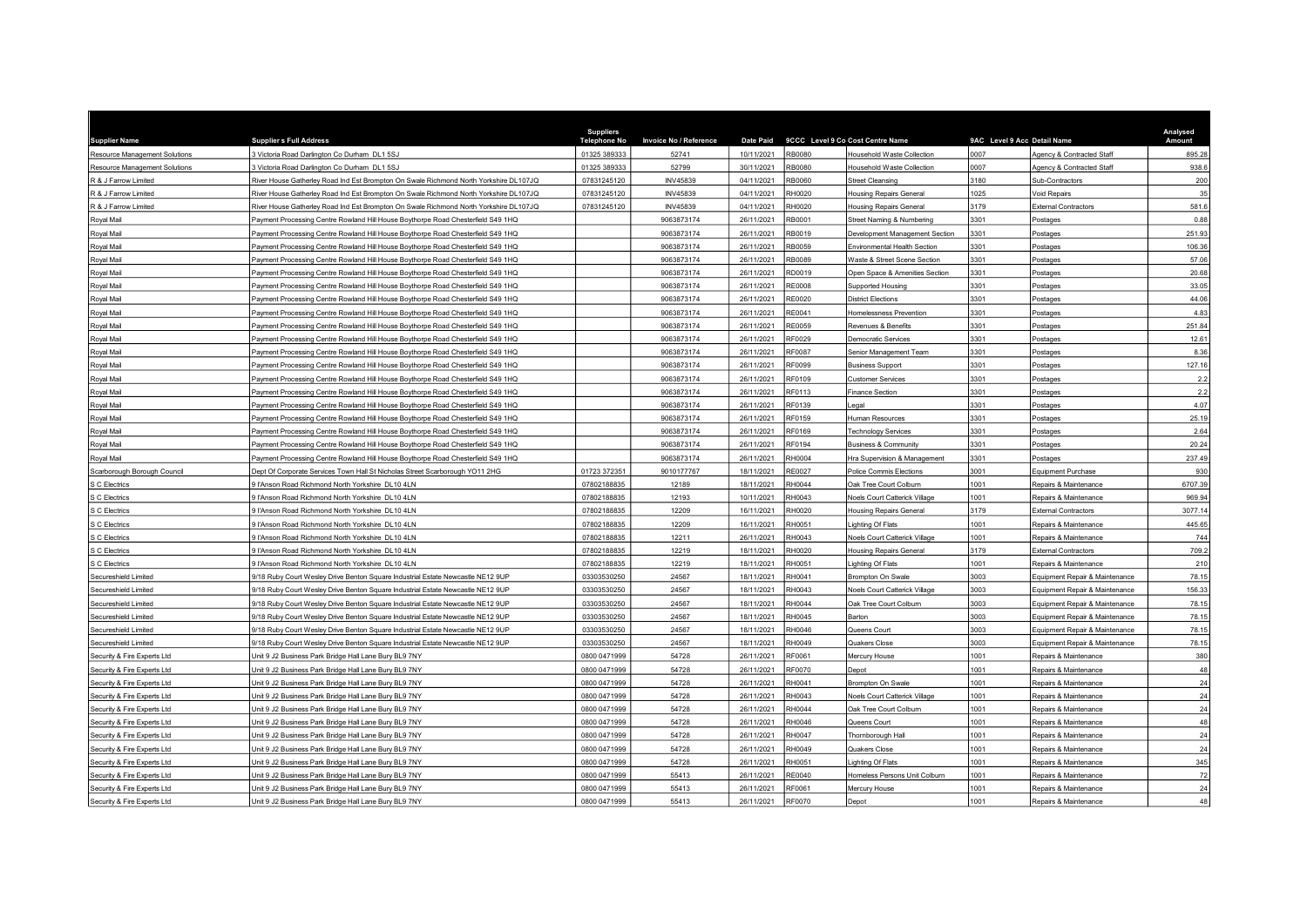| <b>Supplier Name</b>          | <b>Suppliers Full Address</b>                                                         | <b>Suppliers</b><br>Telephone No | Invoice No / Reference | <b>Date Paid</b> |               | 9CCC Level 9 Co Cost Centre Name     | 9AC Level 9 Acc Detail Name |                                | Analysed<br>Amount |
|-------------------------------|---------------------------------------------------------------------------------------|----------------------------------|------------------------|------------------|---------------|--------------------------------------|-----------------------------|--------------------------------|--------------------|
| Resource Management Solutions | 3 Victoria Road Darlington Co Durham DL1 5SJ                                          | 01325 389333                     | 52741                  | 10/11/2021       | RB0080        | Household Waste Collection           | 0007                        | Agency & Contracted Staff      | 895.28             |
| Resource Management Solutions | Victoria Road Darlington Co Durham DL1 5SJ                                            | 01325 389333                     | 52799                  | 30/11/2021       | <b>RB0080</b> | <b>Household Waste Collection</b>    | 0007                        | Agency & Contracted Staff      | 938.6              |
| R & J Farrow Limited          | River House Gatherley Road Ind Est Brompton On Swale Richmond North Yorkshire DL107JQ | 07831245120                      | <b>INV45839</b>        | 04/11/2021       | RB0060        | Street Cleansing                     | 3180                        | <b>Sub-Contractors</b>         | 200                |
| R & J Farrow Limited          | River House Gatherley Road Ind Est Brompton On Swale Richmond North Yorkshire DL107JQ | 07831245120                      | <b>INV45839</b>        | 04/11/2021       | H0020         | <b>Housing Repairs General</b>       | 1025                        | oid Repairs                    | 35                 |
| R & J Farrow Limited          | River House Gatherley Road Ind Est Brompton On Swale Richmond North Yorkshire DL107JQ | 07831245120                      | <b>INV45839</b>        | 04/11/2021       | RH0020        | <b>Housing Repairs General</b>       | 3179                        | <b>External Contractors</b>    | 581.6              |
| Royal Mail                    | Payment Processing Centre Rowland Hill House Boythorpe Road Chesterfield S49 1HQ      |                                  | 9063873174             | 26/11/2021       | RB0001        | Street Naming & Numbering            | 3301                        | Postages                       | 0.88               |
| Royal Mail                    | Payment Processing Centre Rowland Hill House Boythorpe Road Chesterfield S49 1HQ      |                                  | 9063873174             | 26/11/2021       | RB0019        | Development Management Section       | 3301                        | Postages                       | 251.93             |
| Royal Mail                    | Payment Processing Centre Rowland Hill House Boythorpe Road Chesterfield S49 1HQ      |                                  | 9063873174             | 26/11/2021       | RB0059        | Environmental Health Section         | 3301                        | Postages                       | 106.36             |
| Royal Mail                    | Payment Processing Centre Rowland Hill House Boythorpe Road Chesterfield S49 1HQ      |                                  | 9063873174             | 26/11/2021       | RB0089        | Waste & Street Scene Section         | 3301                        | Postages                       | 57.06              |
| Royal Mail                    | Payment Processing Centre Rowland Hill House Boythorpe Road Chesterfield S49 1HQ      |                                  | 9063873174             | 26/11/2021       | RD0019        | Open Space & Amenities Section       | 3301                        | <b>Postages</b>                | 20.68              |
| Royal Mail                    | Payment Processing Centre Rowland Hill House Boythorpe Road Chesterfield S49 1HQ      |                                  | 9063873174             | 26/11/2021       | <b>RE0008</b> | Supported Housing                    | 3301                        | Postages                       | 33.05              |
| Royal Mail                    | Payment Processing Centre Rowland Hill House Boythorpe Road Chesterfield S49 1HQ      |                                  | 9063873174             | 26/11/2021       | RE0020        | <b>District Elections</b>            | 3301                        | Postages                       | 44.06              |
| Royal Mail                    | Payment Processing Centre Rowland Hill House Boythorpe Road Chesterfield S49 1HQ      |                                  | 9063873174             | 26/11/2021       | RE0041        | Homelessness Prevention              | 3301                        | Postages                       | 4.83               |
| Royal Mail                    | Payment Processing Centre Rowland Hill House Boythorpe Road Chesterfield S49 1HQ      |                                  | 9063873174             | 26/11/2021       | RE0059        | Revenues & Benefits                  | 3301                        | Postages                       | 251.84             |
| Royal Mail                    | Payment Processing Centre Rowland Hill House Boythorpe Road Chesterfield S49 1HQ      |                                  | 9063873174             | 26/11/2021       | RF0029        | Democratic Services                  | 3301                        | Postages                       | 12.61              |
| Royal Mail                    | Payment Processing Centre Rowland Hill House Boythorpe Road Chesterfield S49 1HQ      |                                  | 9063873174             | 26/11/2021       | RF0087        | Senior Management Team               | 3301                        | ostages                        | 8.36               |
| Royal Mail                    | Payment Processing Centre Rowland Hill House Boythorpe Road Chesterfield S49 1HQ      |                                  | 9063873174             | 26/11/2021       | RF0099        | <b>Business Support</b>              | 3301                        | Postages                       | 127.16             |
| Royal Mail                    | Payment Processing Centre Rowland Hill House Boythorpe Road Chesterfield S49 1HQ      |                                  | 9063873174             | 26/11/2021       | RF0109        | <b>Customer Services</b>             | 3301                        | Postages                       | 2.2                |
| Royal Mail                    | Payment Processing Centre Rowland Hill House Boythorpe Road Chesterfield S49 1HQ      |                                  | 9063873174             | 26/11/2021       | RF0113        | <b>Finance Section</b>               | 3301                        | Postages                       | 2.2                |
| Royal Mail                    | Payment Processing Centre Rowland Hill House Boythorpe Road Chesterfield S49 1HQ      |                                  | 9063873174             | 26/11/2021       | RF0139        | egal                                 | 3301                        | Postages                       | 4.07               |
| Royal Mail                    | Payment Processing Centre Rowland Hill House Boythorpe Road Chesterfield S49 1HQ      |                                  | 9063873174             | 26/11/2021       | RF0159        | Human Resources                      | 3301                        | Postages                       | 25.19              |
| Royal Mail                    | Payment Processing Centre Rowland Hill House Boythorpe Road Chesterfield S49 1HQ      |                                  | 9063873174             | 26/11/2021       | RF0169        | <b>Technology Services</b>           | 3301                        | Postages                       | 2.64               |
| Royal Mail                    | Payment Processing Centre Rowland Hill House Boythorpe Road Chesterfield S49 1HQ      |                                  | 9063873174             | 26/11/2021       | RF0194        | <b>Business &amp; Community</b>      | 3301                        | Postages                       | 20.24              |
| Royal Mail                    | Payment Processing Centre Rowland Hill House Boythorpe Road Chesterfield S49 1HQ      |                                  | 9063873174             | 26/11/2021       | RH0004        | Hra Supervision & Management         | 3301                        | Postages                       | 237.49             |
| Scarborough Borough Council   | Dept Of Corporate Services Town Hall St Nicholas Street Scarborough YO11 2HG          | 01723 372351                     | 9010177767             | 18/11/2021       | RE0027        | Police Commis Elections              | 3001                        | <b>Equipment Purchase</b>      | 930                |
| S C Electrics                 | <b>I'Anson Road Richmond North Yorkshire DL10 4LN</b>                                 | 07802188835                      | 12189                  | 18/11/2021       | RH0044        | Oak Tree Court Colburn               | 1001                        | Repairs & Maintenance          | 6707.39            |
| S C Electrics                 | 9 l'Anson Road Richmond North Yorkshire DL10 4LN                                      | 07802188835                      | 12193                  | 10/11/2021       | RH0043        | Noels Court Catterick Village        | 1001                        | Repairs & Maintenance          | 969.94             |
| S C Electrics                 | ll'Anson Road Richmond North Yorkshire DL10 4LN                                       | 07802188835                      | 12209                  | 16/11/2021       | RH0020        | <b>Housing Repairs General</b>       | 3179                        | External Contractors           | 3077.14            |
| S C Electrics                 | ll'Anson Road Richmond North Yorkshire DL10 4LN                                       | 07802188835                      | 12209                  | 16/11/2021       | RH0051        | Lighting Of Flats                    | 1001                        | Repairs & Maintenance          | 445.65             |
| S C Electrics                 | ll'Anson Road Richmond North Yorkshire DL10 4LN                                       | 07802188835                      | 12211                  | 26/11/2021       | RH0043        | Noels Court Catterick Village        | 1001                        | Repairs & Maintenance          | 744                |
| S C Electrics                 | 9 l'Anson Road Richmond North Yorkshire DL10 4LN                                      | 07802188835                      | 12219                  | 18/11/2021       | RH0020        | <b>Housing Repairs Genera</b>        | 3179                        | <b>External Contractors</b>    | 709.2              |
| S C Electrics                 | 9 l'Anson Road Richmond North Yorkshire DL10 4LN                                      | 07802188835                      | 12219                  | 18/11/2021       | RH0051        | Lighting Of Flats                    | 1001                        | Repairs & Maintenance          | 210                |
| Secureshield Limited          | 9/18 Ruby Court Wesley Drive Benton Square Industrial Estate Newcastle NE12 9UP       | 03303530250                      | 24567                  | 18/11/2021       | RH0041        | Brompton On Swale                    | 3003                        | Equipment Repair & Maintenance | 78.15              |
| Secureshield Limited          | 9/18 Ruby Court Wesley Drive Benton Square Industrial Estate Newcastle NE12 9UP       | 03303530250                      | 24567                  | 18/11/2021       | RH0043        | Noels Court Catterick Village        | 3003                        | Equipment Repair & Maintenance | 156.33             |
| Secureshield Limited          | 9/18 Ruby Court Wesley Drive Benton Square Industrial Estate Newcastle NE12 9UP       | 03303530250                      | 24567                  | 18/11/2021       | RH0044        | Oak Tree Court Colburn               | 3003                        | Equipment Repair & Maintenance | 78.15              |
| Secureshield Limited          | 9/18 Ruby Court Wesley Drive Benton Square Industrial Estate Newcastle NE12 9UP       | 03303530250                      | 24567                  | 18/11/2021       | H0045         | Barton                               | 3003                        | Equipment Repair & Maintenance | 78.15              |
| Secureshield Limited          | 9/18 Ruby Court Wesley Drive Benton Square Industrial Estate Newcastle NE12 9UP       | 03303530250                      | 24567                  | 18/11/2021       | RH0046        | Queens Court                         | 3003                        | quipment Repair & Maintenance  | 78.15              |
| Secureshield Limited          | 9/18 Ruby Court Wesley Drive Benton Square Industrial Estate Newcastle NE12 9UP       | 03303530250                      | 24567                  | 18/11/2021       | RH0049        | <b>Quakers Close</b>                 | 3003                        | Equipment Repair & Maintenance | 78.15              |
| Security & Fire Experts Ltd   | Unit 9 J2 Business Park Bridge Hall Lane Bury BL9 7NY                                 | 0800 0471999                     | 54728                  | 26/11/2021       | RF0061        | <b>Mercury House</b>                 | 1001                        | Repairs & Maintenance          | 380                |
| Security & Fire Experts Ltd   | Unit 9 J2 Business Park Bridge Hall Lane Bury BL9 7NY                                 | 0800 0471999                     | 54728                  | 26/11/2021       | RF0070        | Depot                                | 1001                        | Repairs & Maintenance          | 48                 |
| Security & Fire Experts Ltd   | Jnit 9 J2 Business Park Bridge Hall Lane Bury BL9 7NY                                 | 0800 0471999                     | 54728                  | 26/11/2021       | RH0041        | Brompton On Swale                    | 1001                        | Repairs & Maintenance          | 24                 |
| Security & Fire Experts Ltd   | Jnit 9 J2 Business Park Bridge Hall Lane Bury BL9 7NY                                 | 0800 0471999                     | 54728                  | 26/11/2021       | H0043         | <b>Noels Court Catterick Village</b> | 1001                        | Repairs & Maintenance          | 24                 |
| Security & Fire Experts Ltd   | Unit 9 J2 Business Park Bridge Hall Lane Bury BL9 7NY                                 | 0800 0471999                     | 54728                  | 26/11/2021       | RH0044        | Oak Tree Court Colburn               | 1001                        | Repairs & Maintenance          | 24                 |
| Security & Fire Experts Ltd   | Unit 9 J2 Business Park Bridge Hall Lane Bury BL9 7NY                                 | 0800 0471999                     | 54728                  | 26/11/2021       | RH0046        | Queens Court                         | 1001                        | Repairs & Maintenance          | 48                 |
| Security & Fire Experts Ltd   | Unit 9 J2 Business Park Bridge Hall Lane Bury BL9 7NY                                 | 0800 0471999                     | 54728                  | 26/11/2021       | RH0047        | Thornborough Hall                    | 1001                        | Repairs & Maintenance          | 24                 |
| Security & Fire Experts Ltd   | Unit 9 J2 Business Park Bridge Hall Lane Bury BL9 7NY                                 | 0800 0471999                     | 54728                  | 26/11/2021       | RH0049        | Quakers Close                        | 1001                        | Repairs & Maintenance          | 24                 |
| Security & Fire Experts Ltd   | Jnit 9 J2 Business Park Bridge Hall Lane Bury BL9 7NY                                 | 0800 0471999                     | 54728                  | 26/11/2021       | RH0051        | ighting Of Flats                     | 1001                        | Repairs & Maintenance          | 345                |
| Security & Fire Experts Ltd   | Jnit 9 J2 Business Park Bridge Hall Lane Bury BL9 7NY                                 | 0800 0471999                     | 55413                  | 26/11/2021       | RE0040        | Homeless Persons Unit Colburn        | 1001                        | Repairs & Maintenance          | 72                 |
| Security & Fire Experts Ltd   | Jnit 9 J2 Business Park Bridge Hall Lane Bury BL9 7NY                                 | 0800 0471999                     | 55413                  | 26/11/2021       | RF0061        | Mercury House                        | 1001                        | Repairs & Maintenance          | 24                 |
| Security & Fire Experts Ltd   | Unit 9 J2 Business Park Bridge Hall Lane Bury BL9 7NY                                 | 0800 0471999                     | 55413                  | 26/11/2021       | RF0070        | Depot                                | 1001                        | Repairs & Maintenance          | 48                 |
|                               |                                                                                       |                                  |                        |                  |               |                                      |                             |                                |                    |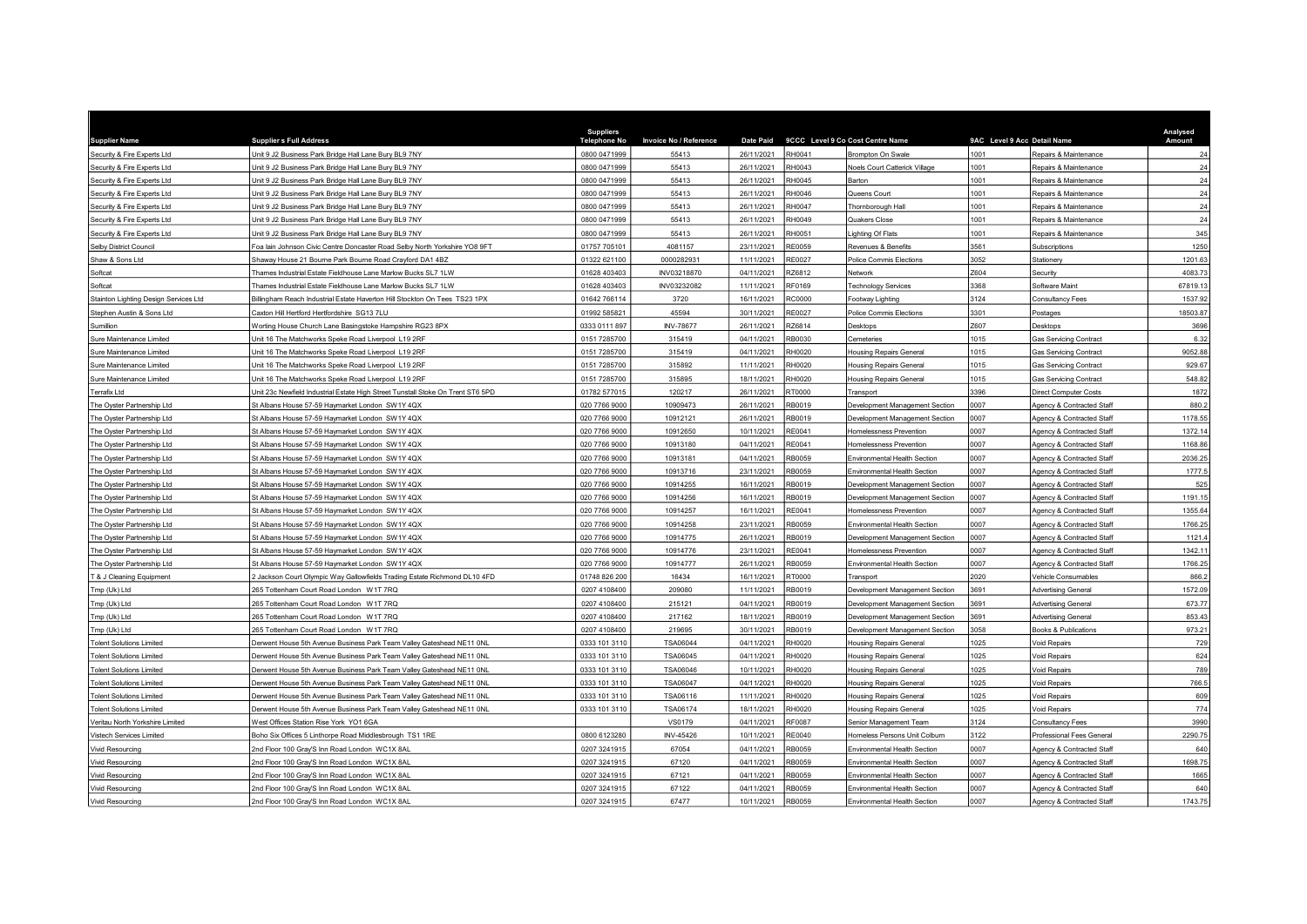| <b>Supplier Name</b>                  | <b>Suppliers Full Address</b>                                                   | <b>Suppliers</b><br>Telephone No | Invoice No / Reference | <b>Date Paid</b> |               | 9CCC Level 9 Co Cost Centre Name    | 9AC Level 9 Acc Detail Name |                                      | Analysed<br>Amount |
|---------------------------------------|---------------------------------------------------------------------------------|----------------------------------|------------------------|------------------|---------------|-------------------------------------|-----------------------------|--------------------------------------|--------------------|
| Security & Fire Experts Ltd           | Jnit 9 J2 Business Park Bridge Hall Lane Bury BL9 7NY                           | 0800 0471999                     | 55413                  | 26/11/2021       | RH0041        | Brompton On Swale                   | 1001                        | Repairs & Maintenance                | 24                 |
| Security & Fire Experts Ltd           | Jnit 9 J2 Business Park Bridge Hall Lane Bury BL9 7NY                           | 0800 0471999                     | 55413                  | 26/11/2021       | RH0043        | Noels Court Catterick Village       | 1001                        | Repairs & Maintenance                | 24                 |
| Security & Fire Experts Ltd           | Jnit 9 J2 Business Park Bridge Hall Lane Bury BL9 7NY                           | 0800 0471999                     | 55413                  | 26/11/2021       | RH0045        | Barton                              | 1001                        | Repairs & Maintenance                | 24                 |
| Security & Fire Experts Ltd           | Jnit 9 J2 Business Park Bridge Hall Lane Bury BL9 7NY                           | 0800 0471999                     | 55413                  | 26/11/2021       | RH0046        | Queens Court                        | 1001                        | Repairs & Maintenance                | 24                 |
| Security & Fire Experts Ltd           | Jnit 9 J2 Business Park Bridge Hall Lane Bury BL9 7NY                           | 0800 0471999                     | 55413                  | 26/11/2021       | <b>RH0047</b> | Thornborough Hall                   | 1001                        | Repairs & Maintenance                | 24                 |
| Security & Fire Experts Ltd           | Unit 9 J2 Business Park Bridge Hall Lane Bury BL9 7NY                           | 0800 0471999                     | 55413                  | 26/11/2021       | RH0049        | Quakers Close                       | 1001                        | Repairs & Maintenance                | 24                 |
| Security & Fire Experts Ltd           | Jnit 9 J2 Business Park Bridge Hall Lane Bury BL9 7NY                           | 0800 0471999                     | 55413                  | 26/11/2021       | RH0051        | ighting Of Flats                    | 1001                        | Repairs & Maintenance                | 345                |
| Selby District Council                | Foa lain Johnson Civic Centre Doncaster Road Selby North Yorkshire YO8 9FT      | 01757 705101                     | 4081157                | 23/11/2021       | <b>RE0059</b> | Revenues & Benefits                 | 3561                        | Subscriptions                        | 1250               |
| Shaw & Sons Ltd                       | Shaway House 21 Bourne Park Bourne Road Crayford DA1 4BZ                        | 01322 621100                     | 0000282931             | 11/11/2021       | RE0027        | Police Commis Elections             | 052                         | <b>Stationery</b>                    | 1201.63            |
| Softcat                               | Thames Industrial Estate Fieldhouse Lane Marlow Bucks SL7 1LW                   | 01628 403403                     | INV03218870            | 04/11/2021       | RZ6812        | Network                             | Z604                        | ecurity                              | 4083.73            |
| Softcat                               | Thames Industrial Estate Fieldhouse Lane Marlow Bucks SL7 1LW                   | 01628 403403                     | INV03232082            | 11/11/2021       | RF0169        | <b>Technology Services</b>          | 3368                        | Software Maint                       | 67819.13           |
| Stainton Lighting Design Services Ltd | Billingham Reach Industrial Estate Haverton Hill Stockton On Tees TS23 1PX      | 01642 766114                     | 3720                   | 16/11/2021       | RC0000        | Footway Lighting                    | 3124                        | <b>Consultancy Fees</b>              | 1537.92            |
| Stephen Austin & Sons Ltd             | Caxton Hill Hertford Hertfordshire SG13 7LU                                     | 01992 585821                     | 45594                  | 30/11/2021       | <b>RE0027</b> | Police Commis Elections             | 3301                        | Postages                             | 18503.8            |
| Sumillion                             | Worting House Church Lane Basingstoke Hampshire RG23 8PX                        | 0333 0111 897                    | <b>INV-78677</b>       | 26/11/2021       | RZ6814        | <b>Desktops</b>                     | Z607                        | esktops                              | 3696               |
| Sure Maintenance Limited              | Jnit 16 The Matchworks Speke Road Liverpool L19 2RF                             | 0151 7285700                     | 315419                 | 04/11/2021       | RB0030        | Cemeteries                          | 1015                        | <b>Sas Servicing Contract</b>        | 6.32               |
| Sure Maintenance Limited              | Jnit 16 The Matchworks Speke Road Liverpool L19 2RF                             | 0151 7285700                     | 315419                 | 04/11/2021       | RH0020        | <b>Housing Repairs General</b>      | 1015                        | <b>Gas Servicing Contract</b>        | 9052.88            |
| Sure Maintenance Limited              | Unit 16 The Matchworks Speke Road Liverpool L19 2RF                             | 0151 7285700                     | 315892                 | 11/11/2021       | RH0020        | <b>Housing Repairs General</b>      | 1015                        | <b>Gas Servicing Contract</b>        | 929.67             |
| Sure Maintenance Limited              | Unit 16 The Matchworks Speke Road Liverpool L19 2RF                             | 0151 7285700                     | 315895                 | 18/11/2021       | RH0020        | <b>Housing Repairs General</b>      | 1015                        | <b>Gas Servicing Contract</b>        | 548.82             |
| Terrafix Ltd                          | Unit 23c Newfield Industrial Estate High Street Tunstall Stoke On Trent ST6 5PD | 01782 577015                     | 120217                 | 26/11/2021       | RT0000        | Transport                           | 3396                        | Direct Computer Costs                | 1872               |
| The Oyster Partnership Ltd            | St Albans House 57-59 Haymarket London SW1Y 4QX                                 | 020 7766 9000                    | 10909473               | 26/11/2021       | RB0019        | Development Management Section      | 0007                        | Agency & Contracted Staff            | 880.2              |
| The Oyster Partnership Ltd            | St Albans House 57-59 Haymarket London SW1Y 4QX                                 | 020 7766 9000                    | 10912121               | 26/11/2021       | RB0019        | Development Management Section      | 0007                        | Agency & Contracted Staf             | 1178.55            |
| The Oyster Partnership Ltd            | St Albans House 57-59 Haymarket London SW1Y 4QX                                 | 020 7766 9000                    | 10912650               | 10/11/2021       | RE0041        | <b>Homelessness Prevention</b>      | 2007                        | Agency & Contracted Staff            | 1372.14            |
| The Oyster Partnership Ltd            | St Albans House 57-59 Haymarket London SW1Y 4QX                                 | 020 7766 9000                    | 10913180               | 04/11/2021       | RE0041        | Iomelessness Prevention             | 007                         | Agency & Contracted Staff            | 1168.86            |
| The Oyster Partnership Ltd            | St Albans House 57-59 Haymarket London SW1Y 4QX                                 | 020 7766 9000                    | 10913181               | 04/11/2021       | <b>RB0059</b> | Environmental Health Section        | 0007                        | Agency & Contracted Staff            | 2036.2             |
| The Oyster Partnership Ltd            | St Albans House 57-59 Haymarket London SW1Y 4QX                                 | 020 7766 9000                    | 10913716               | 23/11/2021       | <b>RB0059</b> | <b>Environmental Health Section</b> | 0007                        | Agency & Contracted Staff            | 1777.              |
| The Oyster Partnership Ltd            | St Albans House 57-59 Haymarket London SW1Y 4QX                                 | 020 7766 9000                    | 10914255               | 16/11/2021       | RB0019        | Jevelopment Management Section      | 0007                        | Agency & Contracted Staff            | 525                |
| The Oyster Partnership Ltd            | St Albans House 57-59 Haymarket London SW1Y 4QX                                 | 020 7766 9000                    | 10914256               | 16/11/2021       | RB0019        | Development Management Section      | 0007                        | Agency & Contracted Staff            | 1191.15            |
| The Oyster Partnership Ltd            | St Albans House 57-59 Haymarket London SW1Y 4QX                                 | 020 7766 9000                    | 10914257               | 16/11/2021       | RE0041        | <b>Homelessness Prevention</b>      | 0007                        | <b>Agency &amp; Contracted Staff</b> | 1355.64            |
| The Oyster Partnership Ltd            | St Albans House 57-59 Haymarket London SW1Y 4QX                                 | 020 7766 9000                    | 10914258               | 23/11/2021       | RB0059        | Environmental Health Section        | 0007                        | Agency & Contracted Staff            | 1766.2             |
| The Oyster Partnership Ltd            | St Albans House 57-59 Haymarket London SW1Y 4QX                                 | 020 7766 9000                    | 10914775               | 26/11/2021       | RB0019        | Development Management Section      | 0007                        | Agency & Contracted Staff            | 1121.              |
| The Oyster Partnership Ltd            | St Albans House 57-59 Haymarket London SW1Y 4QX                                 | 020 7766 9000                    | 10914776               | 23/11/2021       | RE0041        | Homelessness Prevention             | 0007                        | Agency & Contracted Staff            | 1342.1             |
| The Oyster Partnership Ltd            | St Albans House 57-59 Haymarket London SW1Y 4QX                                 | 020 7766 9000                    | 10914777               | 26/11/2021       | RB0059        | Environmental Health Section        | 0007                        | Agency & Contracted Staff            | 1766.25            |
| T & J Cleaning Equipment              | Jackson Court Olympic Way Gallowfields Trading Estate Richmond DL10 4FD         | 01748 826 200                    | 16434                  | 16/11/2021       | RT0000        | Transport                           | 2020                        | Vehicle Consumables                  | 866.2              |
| Tmp (Uk) Ltd                          | 265 Tottenham Court Road London W1T 7RQ                                         | 0207 4108400                     | 209080                 | 11/11/2021       | RB0019        | Development Management Section      | 3691                        | <b>Advertising General</b>           | 1572.09            |
| Tmp (Uk) Ltd                          | 65 Tottenham Court Road London W1T 7RQ                                          | 0207 4108400                     | 215121                 | 04/11/2021       | RB0019        | Development Management Section      | 691                         | <b>Idvertising General</b>           | 673.7              |
| Tmp (Uk) Ltd                          | 265 Tottenham Court Road London W1T 7RQ                                         | 0207 4108400                     | 217162                 | 18/11/2021       | RB0019        | Development Management Section      | 3691                        | <b>Advertising General</b>           | 853.4              |
| Tmp (Uk) Ltd                          | 265 Tottenham Court Road London W1T 7RQ                                         | 0207 4108400                     | 219695                 | 30/11/2021       | RB0019        | Development Management Section      | 8058                        | Books & Publications                 | 973.2              |
| <b>Tolent Solutions Limited</b>       | Derwent House 5th Avenue Business Park Team Valley Gateshead NE11 0NL           | 0333 101 3110                    | <b>TSA06044</b>        | 04/11/2021       | RH0020        | <b>Housing Repairs General</b>      | 1025                        | Void Repairs                         | 729                |
| <b>Tolent Solutions Limited</b>       | Derwent House 5th Avenue Business Park Team Valley Gateshead NE11 0NL           | 0333 101 3110                    | <b>TSA06045</b>        | 04/11/2021       | RH0020        | <b>Housing Repairs General</b>      | 1025                        | Void Repairs                         | 624                |
| <b>Tolent Solutions Limited</b>       | Derwent House 5th Avenue Business Park Team Valley Gateshead NE11 0NL           | 0333 101 3110                    | <b>TSA06046</b>        | 10/11/2021       | RH0020        | <b>Housing Repairs General</b>      | 025                         | oid Repairs                          | 789                |
| <b>Tolent Solutions Limited</b>       | Derwent House 5th Avenue Business Park Team Valley Gateshead NE11 0NL           | 0333 101 3110                    | <b>TSA06047</b>        | 04/11/2021       | RH0020        | <b>Housing Repairs General</b>      | 025                         | Void Repairs                         | 766.               |
| <b>Tolent Solutions Limited</b>       | Derwent House 5th Avenue Business Park Team Valley Gateshead NE11 0NL           | 0333 101 3110                    | TSA06116               | 11/11/2021       | RH0020        | <b>Housing Repairs General</b>      | 025                         | oid Repairs                          | 609                |
| <b>Tolent Solutions Limited</b>       | Derwent House 5th Avenue Business Park Team Valley Gateshead NE11 0NL           | 0333 101 3110                    | TSA06174               | 18/11/2021       | RH0020        | <b>Housing Repairs General</b>      | 1025                        | Void Repairs                         | 774                |
| Veritau North Yorkshire Limited       | West Offices Station Rise York YO1 6GA                                          |                                  | <b>VS0179</b>          | 04/11/2021       | RF0087        | Senior Management Team              | 3124                        | Consultancy Fees                     | 3990               |
| Vistech Services Limited              | Boho Six Offices 5 Linthorpe Road Middlesbrough TS1 1RE                         | 0800 6123280                     | INV-45426              | 10/11/2021       | RE0040        | Iomeless Persons Unit Colburn       | 3122                        | Professional Fees General            | 2290.7             |
| <b>Vivid Resourcing</b>               | 2nd Floor 100 Gray'S Inn Road London WC1X 8AL                                   | 0207 3241915                     | 67054                  | 04/11/2021       | RB0059        | Environmental Health Section        | 0007                        | Agency & Contracted Staff            | 640                |
| <b>Vivid Resourcing</b>               | 2nd Floor 100 Gray'S Inn Road London WC1X 8AL                                   | 0207 3241915                     | 67120                  | 04/11/2021       | RB0059        | Environmental Health Section        | 0007                        | Agency & Contracted Staff            | 1698.7             |
| <b>Vivid Resourcing</b>               | Ind Floor 100 Gray'S Inn Road London WC1X 8AL                                   | 0207 3241915                     | 67121                  | 04/11/2021       | RB0059        | Environmental Health Section        | 0007                        | Agency & Contracted Staff            | 1665               |
| Vivid Resourcing                      | 2nd Floor 100 Gray'S Inn Road London WC1X 8AL                                   | 0207 3241915                     | 67122                  | 04/11/2021       | <b>RB0059</b> | <b>Environmental Health Section</b> | 0007                        | Agency & Contracted Staff            | 640                |
| Vivid Resourcing                      | 2nd Floor 100 Gray'S Inn Road London WC1X 8AL                                   | 0207 3241915                     | 67477                  | 10/11/2021       | RB0059        | <b>Fnvironmental Health Section</b> | 0007                        | Agency & Contracted Staff            | 1743.75            |